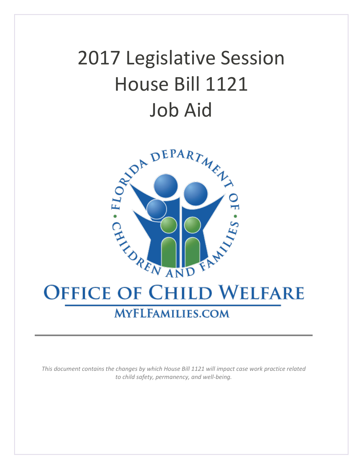# 2017 Legislative Session House Bill 1121 Job Aid



# **OFFICE OF CHILD WELFARE**

# **MYFLFAMILIES.COM**

*This document contains the changes by which House Bill 1121 will impact case work practice related to child safety, permanency, and well-being.*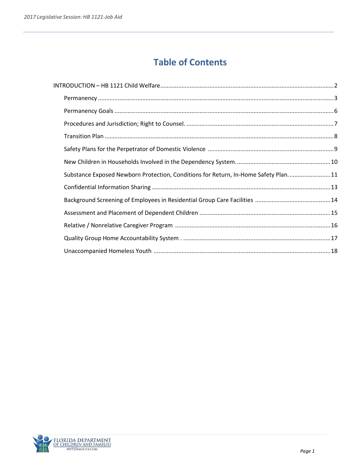# **Table of Contents**

| Substance Exposed Newborn Protection, Conditions for Return, In-Home Safety Plan 11 |  |
|-------------------------------------------------------------------------------------|--|
|                                                                                     |  |
|                                                                                     |  |
|                                                                                     |  |
|                                                                                     |  |
|                                                                                     |  |
|                                                                                     |  |

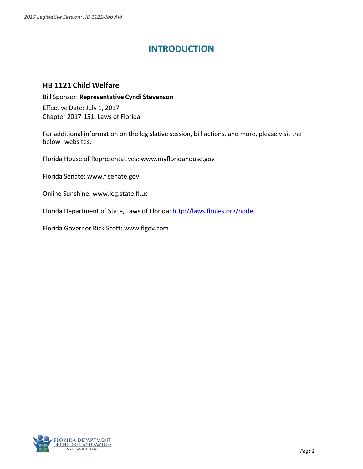# **INTRODUCTION**

# <span id="page-2-0"></span>**HB 1121 [Child Welfare](http://myfloridahouse.gov/Sections/Bills/billsdetail.aspx?BillId=59072&SessionId=83)**

Bill Sponsor: **[Representative](http://myfloridahouse.gov/Sections/Representatives/details.aspx?MemberId=4620&LegislativeTermId=87) Cyndi Stevenson** Effective Date: July 1, 2017 Chapter 2017-151, Laws of Florida

For additional information on the legislative session, bill actions, and more, please visit the below websites.

Florida House of Representatives: [www.myfloridahouse.gov](http://www.myfloridahouse.gov/)

Florida Senate: [www.flsenate.gov](http://www.flsenate.gov/)

Online Sunshine: [www.leg.state.fl.us](http://www.leg.state.fl.us/)

Florida Department of State, Laws of Florida:<http://laws.flrules.org/node>

Florida Governor Rick Scott: [www.flgov.com](http://www.flgov.com/)

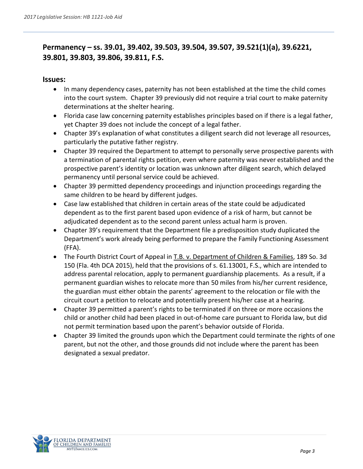# <span id="page-3-0"></span>**Permanency – ss. 39.01, 39.402, 39.503, 39.504, 39.507, 39.521(1)(a), 39.6221, 39.801, 39.803, 39.806, 39.811, F.S.**

#### **Issues:**

- In many dependency cases, paternity has not been established at the time the child comes into the court system. Chapter 39 previously did not require a trial court to make paternity determinations at the shelter hearing.
- Florida case law concerning paternity establishes principles based on if there is a legal father, yet Chapter 39 does not include the concept of a legal father.
- Chapter 39's explanation of what constitutes a diligent search did not leverage all resources, particularly the putative father registry.
- Chapter 39 required the Department to attempt to personally serve prospective parents with a termination of parental rights petition, even where paternity was never established and the prospective parent's identity or location was unknown after diligent search, which delayed permanency until personal service could be achieved.
- Chapter 39 permitted dependency proceedings and injunction proceedings regarding the same children to be heard by different judges.
- Case law established that children in certain areas of the state could be adjudicated dependent as to the first parent based upon evidence of a risk of harm, but cannot be adjudicated dependent as to the second parent unless actual harm is proven.
- Chapter 39's requirement that the Department file a predisposition study duplicated the Department's work already being performed to prepare the Family Functioning Assessment (FFA).
- The Fourth District Court of Appeal in T.B. v. Department of Children & Families, 189 So. 3d 150 (Fla. 4th DCA 2015), held that the provisions of s. 61.13001, F.S., which are intended to address parental relocation, apply to permanent guardianship placements. As a result, if a permanent guardian wishes to relocate more than 50 miles from his/her current residence, the guardian must either obtain the parents' agreement to the relocation or file with the circuit court a petition to relocate and potentially present his/her case at a hearing.
- Chapter 39 permitted a parent's rights to be terminated if on three or more occasions the child or another child had been placed in out-of-home care pursuant to Florida law, but did not permit termination based upon the parent's behavior outside of Florida.
- Chapter 39 limited the grounds upon which the Department could terminate the rights of one parent, but not the other, and those grounds did not include where the parent has been designated a sexual predator.

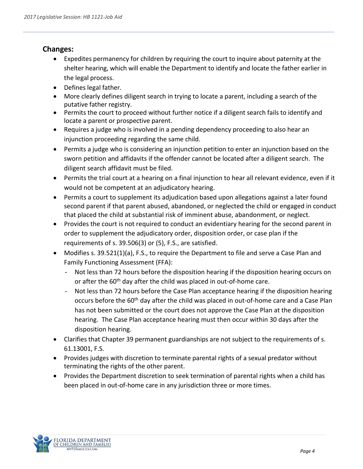#### **Changes:**

- Expedites permanency for children by requiring the court to inquire about paternity at the shelter hearing, which will enable the Department to identify and locate the father earlier in the legal process.
- Defines legal father.
- More clearly defines diligent search in trying to locate a parent, including a search of the putative father registry.
- Permits the court to proceed without further notice if a diligent search fails to identify and locate a parent or prospective parent.
- Requires a judge who is involved in a pending dependency proceeding to also hear an injunction proceeding regarding the same child.
- Permits a judge who is considering an injunction petition to enter an injunction based on the sworn petition and affidavits if the offender cannot be located after a diligent search. The diligent search affidavit must be filed.
- Permits the trial court at a hearing on a final injunction to hear all relevant evidence, even if it would not be competent at an adjudicatory hearing.
- Permits a court to supplement its adjudication based upon allegations against a later found second parent if that parent abused, abandoned, or neglected the child or engaged in conduct that placed the child at substantial risk of imminent abuse, abandonment, or neglect.
- Provides the court is not required to conduct an evidentiary hearing for the second parent in order to supplement the adjudicatory order, disposition order, or case plan if the requirements of s. 39.506(3) or (5), F.S., are satisfied.
- Modifies s. 39.521(1)(a), F.S., to require the Department to file and serve a Case Plan and Family Functioning Assessment (FFA):
	- Not less than 72 hours before the disposition hearing if the disposition hearing occurs on or after the 60<sup>th</sup> day after the child was placed in out-of-home care.
	- Not less than 72 hours before the Case Plan acceptance hearing if the disposition hearing occurs before the 60th day after the child was placed in out-of-home care and a Case Plan has not been submitted or the court does not approve the Case Plan at the disposition hearing. The Case Plan acceptance hearing must then occur within 30 days after the disposition hearing.
- Clarifies that Chapter 39 permanent guardianships are not subject to the requirements of s. 61.13001, F.S.
- Provides judges with discretion to terminate parental rights of a sexual predator without terminating the rights of the other parent.
- Provides the Department discretion to seek termination of parental rights when a child has been placed in out-of-home care in any jurisdiction three or more times.

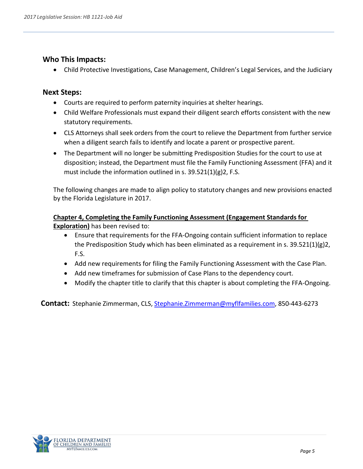#### **Who This Impacts:**

• Child Protective Investigations, Case Management, Children's Legal Services, and the Judiciary

#### **Next Steps:**

- Courts are required to perform paternity inquiries at shelter hearings.
- Child Welfare Professionals must expand their diligent search efforts consistent with the new statutory requirements.
- CLS Attorneys shall seek orders from the court to relieve the Department from further service when a diligent search fails to identify and locate a parent or prospective parent.
- The Department will no longer be submitting Predisposition Studies for the court to use at disposition; instead, the Department must file the Family Functioning Assessment (FFA) and it must include the information outlined in s. 39.521(1)(g)2, F.S.

The following changes are made to align policy to statutory changes and new provisions enacted by the Florida Legislature in 2017.

#### **Chapter 4, Completing the Family Functioning Assessment (Engagement Standards for Exploration)** has been revised to:

- Ensure that requirements for the FFA-Ongoing contain sufficient information to replace the Predisposition Study which has been eliminated as a requirement in s.  $39.521(1)(g)2$ , F.S.
- Add new requirements for filing the Family Functioning Assessment with the Case Plan.
- Add new timeframes for submission of Case Plans to the dependency court.
- Modify the chapter title to clarify that this chapter is about completing the FFA-Ongoing.

**Contact:** Stephanie Zimmerman, CLS, [Stephanie.Zimmerman@myflfamilies.com,](mailto:Stephanie.Zimmerman@myflfamilies.com) 850-443-6273

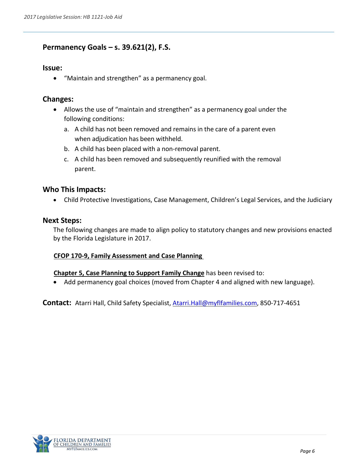# <span id="page-6-0"></span>**Permanency Goals – s. 39.621(2), F.S.**

#### **Issue:**

• "Maintain and strengthen" as a permanency goal.

#### **Changes:**

- Allows the use of "maintain and strengthen" as a permanency goal under the following conditions:
	- a. A child has not been removed and remains in the care of a parent even when adjudication has been withheld.
	- b. A child has been placed with a non-removal parent.
	- c. A child has been removed and subsequently reunified with the removal parent.

#### **Who This Impacts:**

• Child Protective Investigations, Case Management, Children's Legal Services, and the Judiciary

#### **Next Steps:**

The following changes are made to align policy to statutory changes and new provisions enacted by the Florida Legislature in 2017.

#### **CFOP 170-9, Family Assessment and Case Planning**

#### **Chapter 5, Case Planning to Support Family Change** has been revised to:

• Add permanency goal choices (moved from Chapter 4 and aligned with new language).

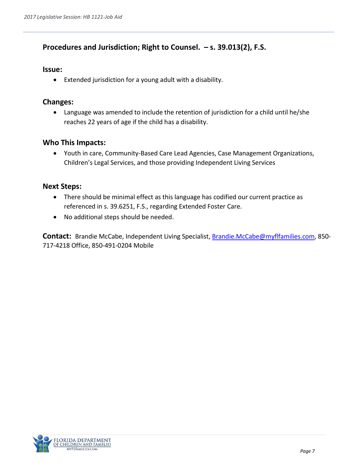# <span id="page-7-0"></span>**Procedures and Jurisdiction; Right to Counsel. – s. 39.013(2), F.S.**

#### **Issue:**

• Extended jurisdiction for a young adult with a disability.

#### **Changes:**

• Language was amended to include the retention of jurisdiction for a child until he/she reaches 22 years of age if the child has a disability.

#### **Who This Impacts:**

• Youth in care, Community-Based Care Lead Agencies, Case Management Organizations, Children's Legal Services, and those providing Independent Living Services

#### **Next Steps:**

- There should be minimal effect as this language has codified our current practice as referenced in s. 39.6251, F.S., regarding Extended Foster Care.
- No additional steps should be needed.

**Contact:** Brandie McCabe, Independent Living Specialist, [Brandie.McCabe@myflfamilies.com,](mailto:Brandie.McCabe@myflfamilies.com) 850- 717-4218 Office, 850-491-0204 Mobile

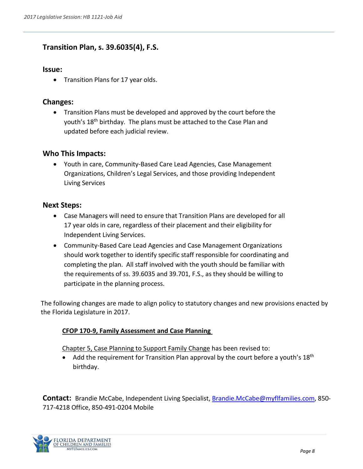# <span id="page-8-0"></span>**Transition Plan, s. 39.6035(4), F.S.**

#### **Issue:**

• Transition Plans for 17 year olds.

### **Changes:**

• Transition Plans must be developed and approved by the court before the youth's 18<sup>th</sup> birthday. The plans must be attached to the Case Plan and updated before each judicial review.

### **Who This Impacts:**

• Youth in care, Community-Based Care Lead Agencies, Case Management Organizations, Children's Legal Services, and those providing Independent Living Services

#### **Next Steps:**

- Case Managers will need to ensure that Transition Plans are developed for all 17 year olds in care, regardless of their placement and their eligibility for Independent Living Services.
- Community-Based Care Lead Agencies and Case Management Organizations should work together to identify specific staff responsible for coordinating and completing the plan. All staff involved with the youth should be familiar with the requirements of ss. 39.6035 and 39.701, F.S., as they should be willing to participate in the planning process.

The following changes are made to align policy to statutory changes and new provisions enacted by the Florida Legislature in 2017.

#### **CFOP 170-9, Family Assessment and Case Planning**

Chapter 5, Case Planning to Support Family Change has been revised to:

Add the requirement for Transition Plan approval by the court before a youth's  $18<sup>th</sup>$ birthday.

**Contact:** Brandie McCabe, Independent Living Specialist, [Brandie.McCabe@myflfamilies.com,](mailto:Brandie.McCabe@myflfamilies.com) 850- 717-4218 Office, 850-491-0204 Mobile

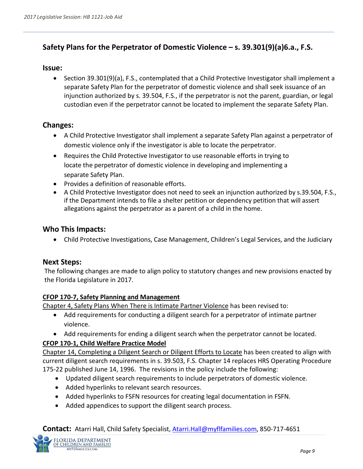# <span id="page-9-0"></span>**Safety Plans for the Perpetrator of Domestic Violence – s. 39.301(9)(a)6.a., F.S.**

#### **Issue:**

• Section 39.301(9)(a), F.S., contemplated that a Child Protective Investigator shall implement a separate Safety Plan for the perpetrator of domestic violence and shall seek issuance of an injunction authorized by s. 39.504, F.S., if the perpetrator is not the parent, guardian, or legal custodian even if the perpetrator cannot be located to implement the separate Safety Plan.

#### **Changes:**

- A Child Protective Investigator shall implement a separate Safety Plan against a perpetrator of domestic violence only if the investigator is able to locate the perpetrator.
- Requires the Child Protective Investigator to use reasonable efforts in trying to locate the perpetrator of domestic violence in developing and implementing a separate Safety Plan.
- Provides a definition of reasonable efforts.
- A Child Protective Investigator does not need to seek an injunction authorized by s.39.504, F.S., if the Department intends to file a shelter petition or dependency petition that will assert allegations against the perpetrator as a parent of a child in the home.

#### **Who This Impacts:**

• Child Protective Investigations, Case Management, Children's Legal Services, and the Judiciary

#### **Next Steps:**

The following changes are made to align policy to statutory changes and new provisions enacted by the Florida Legislature in 2017.

#### **CFOP 170-7, Safety Planning and Management**

Chapter 4, Safety Plans When There is Intimate Partner Violence has been revised to:

- Add requirements for conducting a diligent search for a perpetrator of intimate partner violence.
- Add requirements for ending a diligent search when the perpetrator cannot be located.

#### **CFOP 170-1, Child Welfare Practice Model**

Chapter 14, Completing a Diligent Search or Diligent Efforts to Locate has been created to align with current diligent search requirements in s. 39.503, F.S. Chapter 14 replaces HRS Operating Procedure 175-22 published June 14, 1996. The revisions in the policy include the following:

- Updated diligent search requirements to include perpetrators of domestic violence.
- Added hyperlinks to relevant search resources.
- Added hyperlinks to FSFN resources for creating legal documentation in FSFN.
- Added appendices to support the diligent search process.

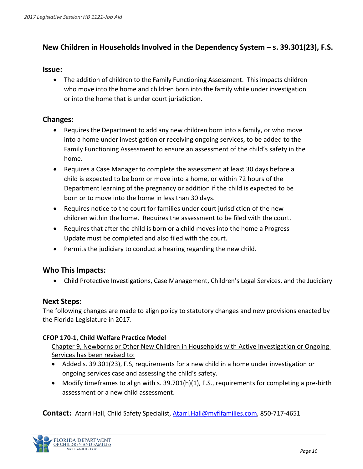# <span id="page-10-0"></span>**New Children in Households Involved in the Dependency System – s. 39.301(23), F.S.**

#### **Issue:**

• The addition of children to the Family Functioning Assessment. This impacts children who move into the home and children born into the family while under investigation or into the home that is under court jurisdiction.

#### **Changes:**

- Requires the Department to add any new children born into a family, or who move into a home under investigation or receiving ongoing services, to be added to the Family Functioning Assessment to ensure an assessment of the child's safety in the home.
- Requires a Case Manager to complete the assessment at least 30 days before a child is expected to be born or move into a home, or within 72 hours of the Department learning of the pregnancy or addition if the child is expected to be born or to move into the home in less than 30 days.
- Requires notice to the court for families under court jurisdiction of the new children within the home. Requires the assessment to be filed with the court.
- Requires that after the child is born or a child moves into the home a Progress Update must be completed and also filed with the court.
- Permits the judiciary to conduct a hearing regarding the new child.

#### **Who This Impacts:**

• Child Protective Investigations, Case Management, Children's Legal Services, and the Judiciary

#### **Next Steps:**

The following changes are made to align policy to statutory changes and new provisions enacted by the Florida Legislature in 2017.

#### **CFOP 170-1, Child Welfare Practice Model**

Chapter 9, Newborns or Other New Children in Households with Active Investigation or Ongoing Services has been revised to:

- Added s. 39.301(23), F.S, requirements for a new child in a home under investigation or ongoing services case and assessing the child's safety.
- Modify timeframes to align with s. 39.701(h)(1), F.S., requirements for completing a pre-birth assessment or a new child assessment.

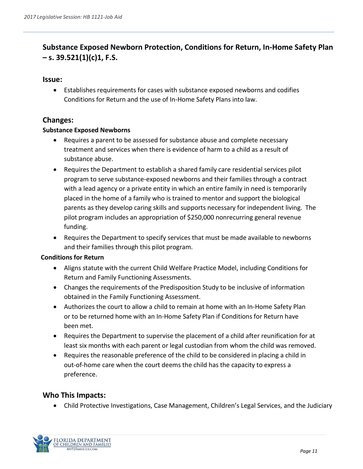# <span id="page-11-0"></span>**Substance Exposed Newborn Protection, Conditions for Return, In-Home Safety Plan – s. 39.521(1)(c)1, F.S.**

#### **Issue:**

• Establishes requirements for cases with substance exposed newborns and codifies Conditions for Return and the use of In-Home Safety Plans into law.

#### **Changes:**

#### **Substance Exposed Newborns**

- Requires a parent to be assessed for substance abuse and complete necessary treatment and services when there is evidence of harm to a child as a result of substance abuse.
- Requires the Department to establish a shared family care residential services pilot program to serve substance-exposed newborns and their families through a contract with a lead agency or a private entity in which an entire family in need is temporarily placed in the home of a family who is trained to mentor and support the biological parents as they develop caring skills and supports necessary for independent living. The pilot program includes an appropriation of \$250,000 nonrecurring general revenue funding.
- Requires the Department to specify services that must be made available to newborns and their families through this pilot program.

#### **Conditions for Return**

- Aligns statute with the current Child Welfare Practice Model, including Conditions for Return and Family Functioning Assessments.
- Changes the requirements of the Predisposition Study to be inclusive of information obtained in the Family Functioning Assessment.
- Authorizes the court to allow a child to remain at home with an In-Home Safety Plan or to be returned home with an In-Home Safety Plan if Conditions for Return have been met.
- Requires the Department to supervise the placement of a child after reunification for at least six months with each parent or legal custodian from whom the child was removed.
- Requires the reasonable preference of the child to be considered in placing a child in out-of-home care when the court deems the child has the capacity to express a preference.

#### **Who This Impacts:**

• Child Protective Investigations, Case Management, Children's Legal Services, and the Judiciary

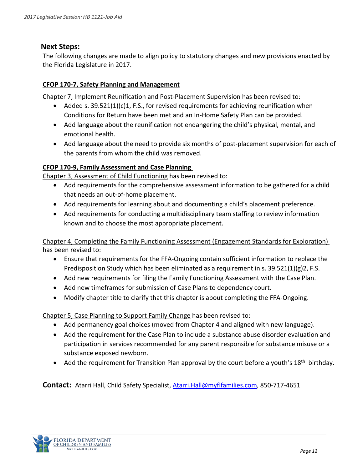#### **Next Steps:**

The following changes are made to align policy to statutory changes and new provisions enacted by the Florida Legislature in 2017.

#### **CFOP 170-7, Safety Planning and Management**

Chapter 7, Implement Reunification and Post-Placement Supervision has been revised to:

- Added s. 39.521(1)(c)1, F.S., for revised requirements for achieving reunification when Conditions for Return have been met and an In-Home Safety Plan can be provided.
- Add language about the reunification not endangering the child's physical, mental, and emotional health.
- Add language about the need to provide six months of post-placement supervision for each of the parents from whom the child was removed.

#### **CFOP 170-9, Family Assessment and Case Planning**

Chapter 3, Assessment of Child Functioning has been revised to:

- Add requirements for the comprehensive assessment information to be gathered for a child that needs an out-of-home placement.
- Add requirements for learning about and documenting a child's placement preference.
- Add requirements for conducting a multidisciplinary team staffing to review information known and to choose the most appropriate placement.

Chapter 4, Completing the Family Functioning Assessment (Engagement Standards for Exploration) has been revised to:

- Ensure that requirements for the FFA-Ongoing contain sufficient information to replace the Predisposition Study which has been eliminated as a requirement in s.  $39.521(1)(g)2$ , F.S.
- Add new requirements for filing the Family Functioning Assessment with the Case Plan.
- Add new timeframes for submission of Case Plans to dependency court.
- Modify chapter title to clarify that this chapter is about completing the FFA-Ongoing.

Chapter 5, Case Planning to Support Family Change has been revised to:

- Add permanency goal choices (moved from Chapter 4 and aligned with new language).
- Add the requirement for the Case Plan to include a substance abuse disorder evaluation and participation in services recommended for any parent responsible for substance misuse or a substance exposed newborn.
- Add the requirement for Transition Plan approval by the court before a youth's  $18<sup>th</sup>$  birthday.

<span id="page-12-0"></span>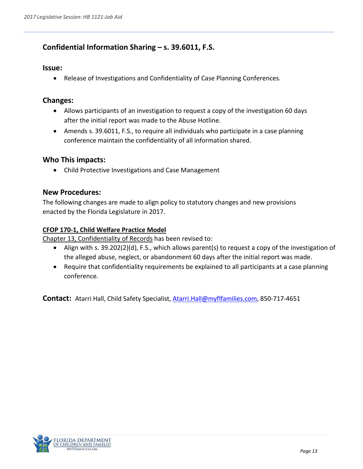### **Confidential Information Sharing – s. 39.6011, F.S.**

#### **Issue:**

• Release of Investigations and Confidentiality of Case Planning Conferences.

#### **Changes:**

- Allows participants of an investigation to request a copy of the investigation 60 days after the initial report was made to the Abuse Hotline.
- Amends s. 39.6011, F.S., to require all individuals who participate in a case planning conference maintain the confidentiality of all information shared.

#### **Who This impacts:**

• Child Protective Investigations and Case Management

#### **New Procedures:**

The following changes are made to align policy to statutory changes and new provisions enacted by the Florida Legislature in 2017.

#### **CFOP 170-1, Child Welfare Practice Model**

Chapter 13, Confidentiality of Records has been revised to:

- Align with s. 39.202(2)(d), F.S., which allows parent(s) to request a copy of the investigation of the alleged abuse, neglect, or abandonment 60 days after the initial report was made.
- Require that confidentiality requirements be explained to all participants at a case planning conference.

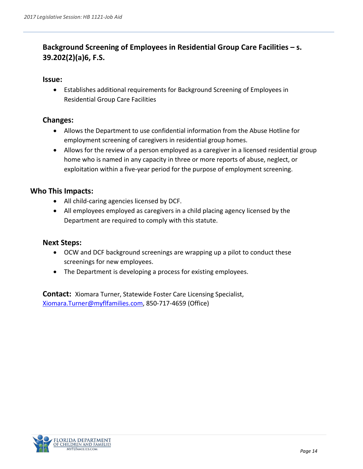# <span id="page-14-0"></span>**Background Screening of Employees in Residential Group Care Facilities – s. 39.202(2)(a)6, F.S.**

#### **Issue:**

• Establishes additional requirements for Background Screening of Employees in Residential Group Care Facilities

#### **Changes:**

- Allows the Department to use confidential information from the Abuse Hotline for employment screening of caregivers in residential group homes.
- Allows for the review of a person employed as a caregiver in a licensed residential group home who is named in any capacity in three or more reports of abuse, neglect, or exploitation within a five-year period for the purpose of employment screening.

#### **Who This Impacts:**

- All child-caring agencies licensed by DCF.
- All employees employed as caregivers in a child placing agency licensed by the Department are required to comply with this statute.

#### **Next Steps:**

- OCW and DCF background screenings are wrapping up a pilot to conduct these screenings for new employees.
- The Department is developing a process for existing employees.

**Contact:** Xiomara Turner, Statewide Foster Care Licensing Specialist, [Xiomara.Turner@myflfamilies.com,](mailto:Xiomara.Turner@myflfamilies.com) 850-717-4659 (Office)

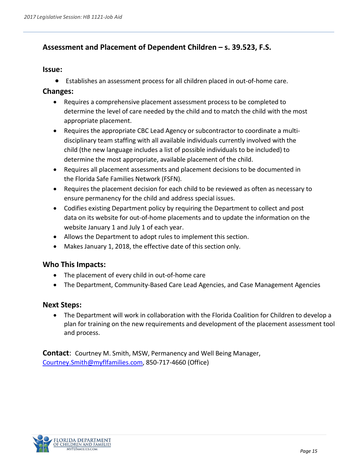# <span id="page-15-0"></span>**Assessment and Placement of Dependent Children – s. 39.523, F.S.**

#### **Issue:**

• Establishes an assessment process for all children placed in out-of-home care.

#### **Changes:**

- Requires a comprehensive placement assessment process to be completed to determine the level of care needed by the child and to match the child with the most appropriate placement.
- Requires the appropriate CBC Lead Agency or subcontractor to coordinate a multidisciplinary team staffing with all available individuals currently involved with the child (the new language includes a list of possible individuals to be included) to determine the most appropriate, available placement of the child.
- Requires all placement assessments and placement decisions to be documented in the Florida Safe Families Network (FSFN).
- Requires the placement decision for each child to be reviewed as often as necessary to ensure permanency for the child and address special issues.
- Codifies existing Department policy by requiring the Department to collect and post data on its website for out-of-home placements and to update the information on the website January 1 and July 1 of each year.
- Allows the Department to adopt rules to implement this section.
- Makes January 1, 2018, the effective date of this section only.

#### **Who This Impacts:**

- The placement of every child in out-of-home care
- The Department, Community-Based Care Lead Agencies, and Case Management Agencies

#### **Next Steps:**

• The Department will work in collaboration with the Florida Coalition for Children to develop a plan for training on the new requirements and development of the placement assessment tool and process.

**Contact**: Courtney M. Smith, MSW, Permanency and Well Being Manager, [Courtney.Smith@myflfamilies.com,](mailto:Courtney.Smith@myflfamilies.com) 850-717-4660 (Office)

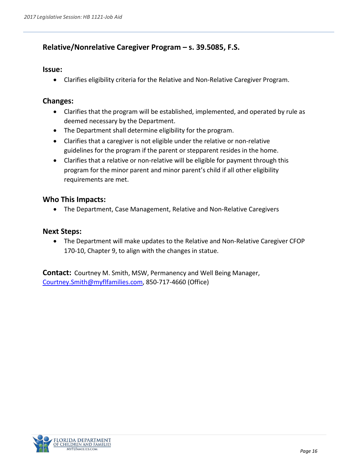### <span id="page-16-0"></span>**Relative/Nonrelative Caregiver Program – s. 39.5085, F.S.**

#### **Issue:**

• Clarifies eligibility criteria for the Relative and Non-Relative Caregiver Program.

#### **Changes:**

- Clarifies that the program will be established, implemented, and operated by rule as deemed necessary by the Department.
- The Department shall determine eligibility for the program.
- Clarifies that a caregiver is not eligible under the relative or non-relative guidelines for the program if the parent or stepparent resides in the home.
- Clarifies that a relative or non-relative will be eligible for payment through this program for the minor parent and minor parent's child if all other eligibility requirements are met.

#### **Who This Impacts:**

• The Department, Case Management, Relative and Non-Relative Caregivers

#### **Next Steps:**

• The Department will make updates to the Relative and Non-Relative Caregiver CFOP 170-10, Chapter 9, to align with the changes in statue.

**Contact:** Courtney M. Smith, MSW, Permanency and Well Being Manager, [Courtney.Smith@myflfamilies.com,](mailto:Courtney.Smith@myflfamilies.com) 850-717-4660 (Office)

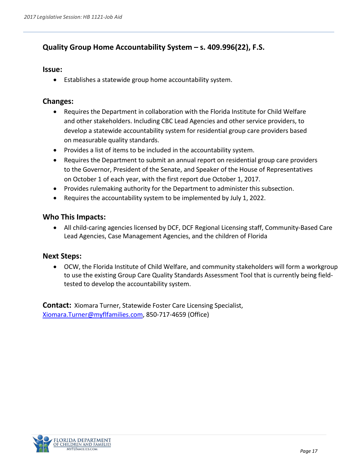# <span id="page-17-0"></span>**Quality Group Home Accountability System – s. 409.996(22), F.S.**

#### **Issue:**

• Establishes a statewide group home accountability system.

#### **Changes:**

- Requires the Department in collaboration with the Florida Institute for Child Welfare and other stakeholders. Including CBC Lead Agencies and other service providers, to develop a statewide accountability system for residential group care providers based on measurable quality standards.
- Provides a list of items to be included in the accountability system.
- Requires the Department to submit an annual report on residential group care providers to the Governor, President of the Senate, and Speaker of the House of Representatives on October 1 of each year, with the first report due October 1, 2017.
- Provides rulemaking authority for the Department to administer this subsection.
- Requires the accountability system to be implemented by July 1, 2022.

#### **Who This Impacts:**

• All child-caring agencies licensed by DCF, DCF Regional Licensing staff, Community-Based Care Lead Agencies, Case Management Agencies, and the children of Florida

#### **Next Steps:**

• OCW, the Florida Institute of Child Welfare, and community stakeholders will form a workgroup to use the existing Group Care Quality Standards Assessment Tool that is currently being fieldtested to develop the accountability system.

**Contact:** Xiomara Turner, Statewide Foster Care Licensing Specialist, [Xiomara.Turner@myflfamilies.com,](mailto:Xiomara.Turner@myflfamilies.com) 850-717-4659 (Office)